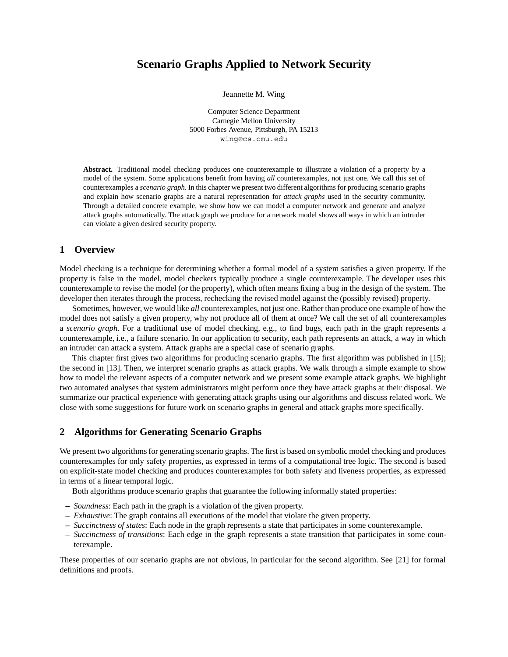# **Scenario Graphs Applied to Network Security**

Jeannette M. Wing

Computer Science Department Carnegie Mellon University 5000 Forbes Avenue, Pittsburgh, PA 15213 wing@cs.cmu.edu

**Abstract.** Traditional model checking produces one counterexample to illustrate a violation of a property by a model of the system. Some applications benefit from having *all* counterexamples, not just one. We call this set of counterexamples a *scenario graph*. In this chapter we present two different algorithms for producing scenario graphs and explain how scenario graphs are a natural representation for *attack graphs* used in the security community. Through a detailed concrete example, we show how we can model a computer network and generate and analyze attack graphs automatically. The attack graph we produce for a network model shows all ways in which an intruder can violate a given desired security property.

## **1 Overview**

Model checking is a technique for determining whether a formal model of a system satisfies a given property. If the property is false in the model, model checkers typically produce a single counterexample. The developer uses this counterexample to revise the model (or the property), which often means fixing a bug in the design of the system. The developer then iterates through the process, rechecking the revised model against the (possibly revised) property.

Sometimes, however, we would like *all* counterexamples, not just one. Rather than produce one example of how the model does not satisfy a given property, why not produce all of them at once? We call the set of all counterexamples a *scenario graph*. For a traditional use of model checking, e.g., to find bugs, each path in the graph represents a counterexample, i.e., a failure scenario. In our application to security, each path represents an attack, a way in which an intruder can attack a system. Attack graphs are a special case of scenario graphs.

This chapter first gives two algorithms for producing scenario graphs. The first algorithm was published in [15]; the second in [13]. Then, we interpret scenario graphs as attack graphs. We walk through a simple example to show how to model the relevant aspects of a computer network and we present some example attack graphs. We highlight two automated analyses that system administrators might perform once they have attack graphs at their disposal. We summarize our practical experience with generating attack graphs using our algorithms and discuss related work. We close with some suggestions for future work on scenario graphs in general and attack graphs more specifically.

## **2 Algorithms for Generating Scenario Graphs**

We present two algorithms for generating scenario graphs. The first is based on symbolic model checking and produces counterexamples for only safety properties, as expressed in terms of a computational tree logic. The second is based on explicit-state model checking and produces counterexamples for both safety and liveness properties, as expressed in terms of a linear temporal logic.

Both algorithms produce scenario graphs that guarantee the following informally stated properties:

- **–** *Soundness*: Each path in the graph is a violation of the given property.
- **–** *Exhaustive*: The graph contains all executions of the model that violate the given property.
- **–** *Succinctness of states*: Each node in the graph represents a state that participates in some counterexample.
- **–** *Succinctness of transitions*: Each edge in the graph represents a state transition that participates in some counterexample.

These properties of our scenario graphs are not obvious, in particular for the second algorithm. See [21] for formal definitions and proofs.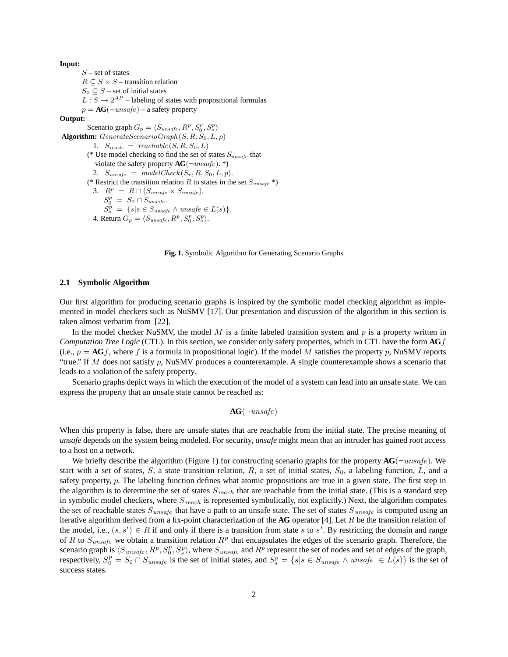**Input:**

*S* – set of states  $R \subseteq S \times S$  – transition relation  $S_0 \subseteq S$  – set of initial states  $L: S \to 2^{AP}$  – labeling of states with propositional formulas  $p = AG(\neg \textit{unsafe}) - a$  safety property **Output:** Scenario graph  $G_p = \langle S_{unsafe}, R^p, S^p_0, S^p_s \rangle$ **Algorithm:** *GenerateScenarioGraph* (*S, R, S*0*, L, p*) 1.  $S_{reach} = reachable(S, R, S_0, L)$ (\* Use model checking to find the set of states *Sunsafe* that violate the safety property  $AG(\neg \textit{unsafe})$ . \*) 2.  $S_{unsafe} = modelCheck(S_r, R, S_0, L, p).$ (\* Restrict the transition relation *R* to states in the set *Sunsafe* \*) 3.  $R^p = R \cap (S_{unsafe} \times S_{unsafe})$ .  $S_0^p = S_0 \cap S_{unsafe}$ .  $S_s^p = \{s | s \in S_{unsafe} \land \textit{unsafe} \in L(s)\}.$ 4. Return  $G_p = \langle S_{unsafe}, R^p, S_0^p, S_s^p \rangle$ .

**Fig. 1.** Symbolic Algorithm for Generating Scenario Graphs

#### **2.1 Symbolic Algorithm**

Our first algorithm for producing scenario graphs is inspired by the symbolic model checking algorithm as implemented in model checkers such as NuSMV [17]. Our presentation and discussion of the algorithm in this section is taken almost verbatim from [22].

In the model checker NuSMV, the model M is a finite labeled transition system and  $p$  is a property written in *Computation Tree Logic* (CTL). In this section, we consider only safety properties, which in CTL have the form **AG**f (i.e.,  $p = AGf$ , where f is a formula in propositional logic). If the model M satisfies the property p, NuSMV reports "true." If  $M$  does not satisfy  $p$ , NuSMV produces a counterexample. A single counterexample shows a scenario that leads to a violation of the safety property.

Scenario graphs depict ways in which the execution of the model of a system can lead into an unsafe state. We can express the property that an unsafe state cannot be reached as:

$$
\textbf{AG}(\neg \textit{unsafe})
$$

When this property is false, there are unsafe states that are reachable from the initial state. The precise meaning of *unsafe* depends on the system being modeled. For security, *unsafe* might mean that an intruder has gained root access to a host on a network.

We briefly describe the algorithm (Figure 1) for constructing scenario graphs for the property  $AG(\neg \textit{unsafe})$ . We start with a set of states, S, a state transition relation, R, a set of initial states,  $S_0$ , a labeling function, L, and a safety property, p. The labeling function defines what atomic propositions are true in a given state. The first step in the algorithm is to determine the set of states S*reach* that are reachable from the initial state. (This is a standard step in symbolic model checkers, where S*reach* is represented symbolically, not explicitly.) Next, the algorithm computes the set of reachable states S*unsafe* that have a path to an unsafe state. The set of states S*unsafe* is computed using an iterative algorithm derived from a fix-point characterization of the **AG** operator [4]. Let R be the transition relation of the model, i.e.,  $(s, s') \in R$  if and only if there is a transition from state s to s'. By restricting the domain and range of R to S*unsafe* we obtain a transition relation R*<sup>p</sup>* that encapsulates the edges of the scenario graph. Therefore, the scenario graph is  $\langle S_{unsafe}, R^p, S_0^p, S_s^p \rangle$ , where  $S_{unsafe}$  and  $R^p$  represent the set of nodes and set of edges of the graph, respectively,  $S_0^p = S_0 \cap S_{unsafe}$  is the set of initial states, and  $S_s^p = \{s | s \in S_{unsafe} \land unsafe \in L(s)\}\$ is the set of success states.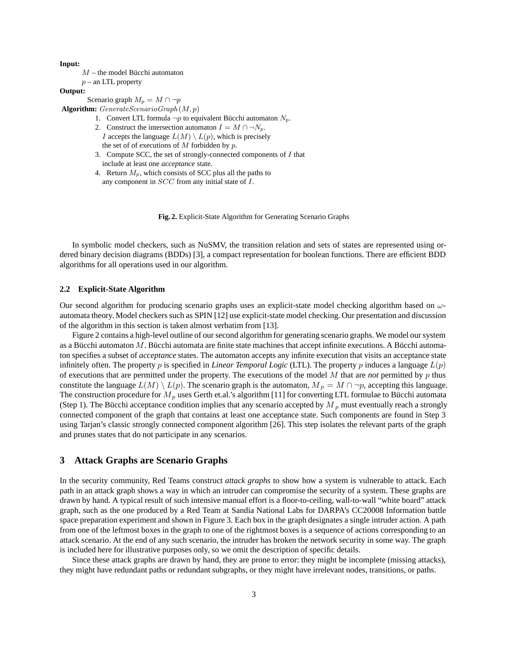**Input:**

 $M$  – the model Bücchi automaton

*p* – an LTL property

**Output:**

Scenario graph  $M_p = M \cap \neg p$ 

**Algorithm:** *GenerateScenarioGraph* (*M, p*)

- 1. Convert LTL formula  $\neg p$  to equivalent Bücchi automaton  $N_p$ .
- 2. Construct the intersection automaton  $I = M \cap \neg N_p$ . *I* accepts the language  $L(M) \setminus L(p)$ , which is precisely the set of of executions of *M* forbidden by *p*.
- 3. Compute SCC, the set of strongly-connected components of *I* that include at least one *acceptance* state.
- 4. Return  $M_p$ , which consists of SCC plus all the paths to any component in *SCC* from any initial state of *I*.

**Fig. 2.** Explicit-State Algorithm for Generating Scenario Graphs

In symbolic model checkers, such as NuSMV, the transition relation and sets of states are represented using ordered binary decision diagrams (BDDs) [3], a compact representation for boolean functions. There are efficient BDD algorithms for all operations used in our algorithm.

#### **2.2 Explicit-State Algorithm**

Our second algorithm for producing scenario graphs uses an explicit-state model checking algorithm based on  $\omega$ automata theory. Model checkers such as SPIN [12] use explicit-state model checking. Our presentation and discussion of the algorithm in this section is taken almost verbatim from [13].

Figure 2 contains a high-level outline of our second algorithm for generating scenario graphs. We model our system as a Bücchi automaton M. Bücchi automata are finite state machines that accept infinite executions. A Bücchi automaton specifies a subset of *acceptance* states. The automaton accepts any infinite execution that visits an acceptance state infinitely often. The property p is specified in *Linear Temporal Logic* (LTL). The property p induces a language  $L(p)$ of executions that are permitted under the property. The executions of the model M that are *not* permitted by p thus constitute the language  $L(M) \setminus L(p)$ . The scenario graph is the automaton,  $M_p = M \cap \neg p$ , accepting this language. The construction procedure for  $M_p$  uses Gerth et.al.'s algorithm [11] for converting LTL formulae to Bücchi automata (Step 1). The B ücchi acceptance condition implies that any scenario accepted by  $M_p$  must eventually reach a strongly connected component of the graph that contains at least one acceptance state. Such components are found in Step 3 using Tarjan's classic strongly connected component algorithm [26]. This step isolates the relevant parts of the graph and prunes states that do not participate in any scenarios.

# **3 Attack Graphs are Scenario Graphs**

In the security community, Red Teams construct *attack graphs* to show how a system is vulnerable to attack. Each path in an attack graph shows a way in which an intruder can compromise the security of a system. These graphs are drawn by hand. A typical result of such intensive manual effort is a floor-to-ceiling, wall-to-wall "white board" attack graph, such as the one produced by a Red Team at Sandia National Labs for DARPA's CC20008 Information battle space preparation experiment and shown in Figure 3. Each box in the graph designates a single intruder action. A path from one of the leftmost boxes in the graph to one of the rightmost boxes is a sequence of actions corresponding to an attack scenario. At the end of any such scenario, the intruder has broken the network security in some way. The graph is included here for illustrative purposes only, so we omit the description of specific details.

Since these attack graphs are drawn by hand, they are prone to error: they might be incomplete (missing attacks), they might have redundant paths or redundant subgraphs, or they might have irrelevant nodes, transitions, or paths.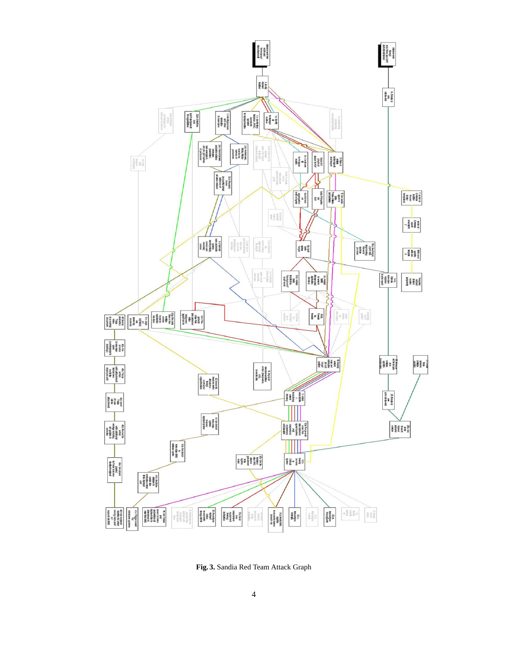

**Fig. 3.** Sandia Red Team Attack Graph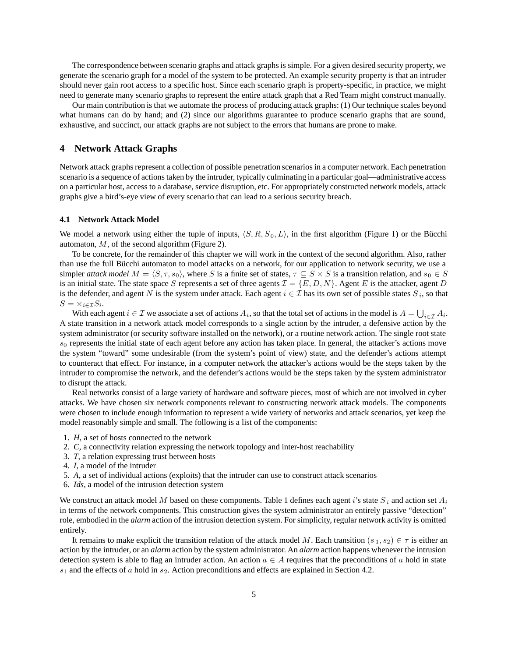The correspondence between scenario graphs and attack graphs is simple. For a given desired security property, we generate the scenario graph for a model of the system to be protected. An example security property is that an intruder should never gain root access to a specific host. Since each scenario graph is property-specific, in practice, we might need to generate many scenario graphs to represent the entire attack graph that a Red Team might construct manually.

Our main contribution is that we automate the process of producing attack graphs: (1) Our technique scales beyond what humans can do by hand; and (2) since our algorithms guarantee to produce scenario graphs that are sound, exhaustive, and succinct, our attack graphs are not subject to the errors that humans are prone to make.

### **4 Network Attack Graphs**

Network attack graphs represent a collection of possible penetration scenarios in a computer network. Each penetration scenario is a sequence of actions taken by the intruder, typically culminating in a particular goal—administrative access on a particular host, access to a database, service disruption, etc. For appropriately constructed network models, attack graphs give a bird's-eye view of every scenario that can lead to a serious security breach.

### **4.1 Network Attack Model**

We model a network using either the tuple of inputs,  $\langle S, R, S_0, L \rangle$ , in the first algorithm (Figure 1) or the Bücchi automaton,  $M$ , of the second algorithm (Figure 2).

To be concrete, for the remainder of this chapter we will work in the context of the second algorithm. Also, rather than use the full Bücchi automaton to model attacks on a network, for our application to network security, we use a simpler *attack model*  $M = \langle S, \tau, s_0 \rangle$ , where S is a finite set of states,  $\tau \subseteq S \times S$  is a transition relation, and  $s_0 \in S$ is an initial state. The state space S represents a set of three agents  $\mathcal{I} = \{E, D, N\}$ . Agent E is the attacker, agent D is the defender, and agent N is the system under attack. Each agent  $i \in \mathcal{I}$  has its own set of possible states  $S_i$ , so that  $S = \times_{i \in \mathcal{I}} S_i$ .

With each agent  $i \in \mathcal{I}$  we associate a set of actions  $A_i$ , so that the total set of actions in the model is  $A = \bigcup_{i \in \mathcal{I}} A_i$ . A state transition in a network attack model corresponds to a single action by the intruder, a defensive action by the system administrator (or security software installed on the network), or a routine network action. The single root state  $s_0$  represents the initial state of each agent before any action has taken place. In general, the attacker's actions move the system "toward" some undesirable (from the system's point of view) state, and the defender's actions attempt to counteract that effect. For instance, in a computer network the attacker's actions would be the steps taken by the intruder to compromise the network, and the defender's actions would be the steps taken by the system administrator to disrupt the attack.

Real networks consist of a large variety of hardware and software pieces, most of which are not involved in cyber attacks. We have chosen six network components relevant to constructing network attack models. The components were chosen to include enough information to represent a wide variety of networks and attack scenarios, yet keep the model reasonably simple and small. The following is a list of the components:

- 1. *H*, a set of hosts connected to the network
- 2. *C*, a connectivity relation expressing the network topology and inter-host reachability
- 3. *T*, a relation expressing trust between hosts
- 4. *I*, a model of the intruder
- 5. *A*, a set of individual actions (exploits) that the intruder can use to construct attack scenarios
- 6. *Ids*, a model of the intrusion detection system

We construct an attack model M based on these components. Table 1 defines each agent i's state  $S_i$  and action set  $A_i$ in terms of the network components. This construction gives the system administrator an entirely passive "detection" role, embodied in the *alarm* action of the intrusion detection system. For simplicity, regular network activity is omitted entirely.

It remains to make explicit the transition relation of the attack model M. Each transition  $(s_1, s_2) \in \tau$  is either an action by the intruder, or an *alarm* action by the system administrator. An *alarm* action happens whenever the intrusion detection system is able to flag an intruder action. An action  $a \in A$  requires that the preconditions of a hold in state  $s_1$  and the effects of a hold in  $s_2$ . Action preconditions and effects are explained in Section 4.2.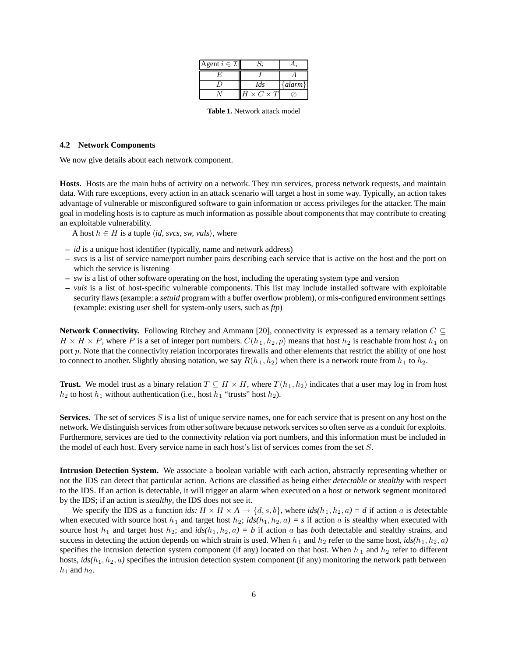| Agent $i \in \mathcal{I}$ |                          |       |
|---------------------------|--------------------------|-------|
|                           |                          |       |
|                           | Ids                      | alarm |
|                           | $\tau \times C \times T$ |       |

**Table 1.** Network attack model

#### **4.2 Network Components**

We now give details about each network component.

**Hosts.** Hosts are the main hubs of activity on a network. They run services, process network requests, and maintain data. With rare exceptions, every action in an attack scenario will target a host in some way. Typically, an action takes advantage of vulnerable or misconfigured software to gain information or access privileges for the attacker. The main goal in modeling hosts is to capture as much information as possible about components that may contribute to creating an exploitable vulnerability.

A host  $h \in H$  is a tuple  $\langle id, \text{svcs}, \text{sw}, \text{vuls} \rangle$ , where

- **–** *id* is a unique host identifier (typically, name and network address)
- **–** *svcs* is a list of service name/port number pairs describing each service that is active on the host and the port on which the service is listening
- **–** *sw* is a list of other software operating on the host, including the operating system type and version
- **–** *vuls* is a list of host-specific vulnerable components. This list may include installed software with exploitable security flaws (example: a *setuid* program with a buffer overflow problem), or mis-configured environment settings (example: existing user shell for system-only users, such as *ftp*)

**Network Connectivity.** Following Ritchey and Ammann [20], connectivity is expressed as a ternary relation  $C \subseteq$  $H \times H \times P$ , where P is a set of integer port numbers.  $C(h_1, h_2, p)$  means that host  $h_2$  is reachable from host  $h_1$  on port p. Note that the connectivity relation incorporates firewalls and other elements that restrict the ability of one host to connect to another. Slightly abusing notation, we say  $R(h_1, h_2)$  when there is a network route from  $h_1$  to  $h_2$ .

**Trust.** We model trust as a binary relation  $T \subseteq H \times H$ , where  $T(h_1, h_2)$  indicates that a user may log in from host  $h_2$  to host  $h_1$  without authentication (i.e., host  $h_1$  "trusts" host  $h_2$ ).

**Services.** The set of services S is a list of unique service names, one for each service that is present on any host on the network. We distinguish services from other software because network services so often serve as a conduit for exploits. Furthermore, services are tied to the connectivity relation via port numbers, and this information must be included in the model of each host. Every service name in each host's list of services comes from the set S.

**Intrusion Detection System.** We associate a boolean variable with each action, abstractly representing whether or not the IDS can detect that particular action. Actions are classified as being either *detectable* or *stealthy* with respect to the IDS. If an action is detectable, it will trigger an alarm when executed on a host or network segment monitored by the IDS; if an action is *stealthy*, the IDS does not see it.

We specify the IDS as a function *ids:*  $H \times H \times A \rightarrow \{d, s, b\}$ , where *ids*( $h_1, h_2, a$ ) = d if action a is detectable when executed with source host  $h_1$  and target host  $h_2$ ;  $ids(h_1, h_2, a) = s$  if action a is stealthy when executed with source host  $h_1$  and target host  $h_2$ ; and  $ids(h_1, h_2, a) = b$  if action a has both detectable and stealthy strains, and success in detecting the action depends on which strain is used. When  $h_1$  and  $h_2$  refer to the same host,  $ids(h_1, h_2, a)$ specifies the intrusion detection system component (if any) located on that host. When  $h_1$  and  $h_2$  refer to different hosts,  $ids(h_1, h_2, a)$  specifies the intrusion detection system component (if any) monitoring the network path between  $h_1$  and  $h_2$ .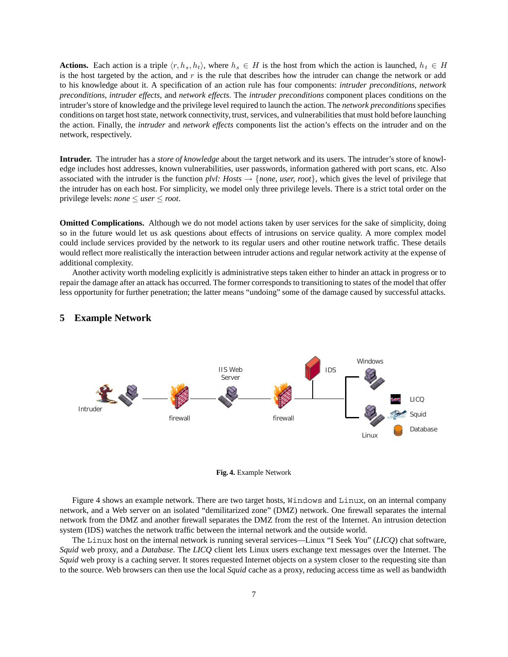**Actions.** Each action is a triple  $\langle r, h_s, h_t \rangle$ , where  $h_s \in H$  is the host from which the action is launched,  $h_t \in H$ is the host targeted by the action, and  $r$  is the rule that describes how the intruder can change the network or add to his knowledge about it. A specification of an action rule has four components: *intruder preconditions*, *network preconditions*, *intruder effects*, and *network effects*. The *intruder preconditions* component places conditions on the intruder's store of knowledge and the privilege level required to launch the action. The *network preconditions*specifies conditions on target host state, network connectivity, trust, services, and vulnerabilities that must hold before launching the action. Finally, the *intruder* and *network effects* components list the action's effects on the intruder and on the network, respectively.

**Intruder.** The intruder has a *store of knowledge* about the target network and its users. The intruder's store of knowledge includes host addresses, known vulnerabilities, user passwords, information gathered with port scans, etc. Also associated with the intruder is the function *plvl: Hosts*  $\rightarrow$  {*none, user, root*}, which gives the level of privilege that the intruder has on each host. For simplicity, we model only three privilege levels. There is a strict total order on the privilege levels: *none* ≤ *user* ≤ *root*.

**Omitted Complications.** Although we do not model actions taken by user services for the sake of simplicity, doing so in the future would let us ask questions about effects of intrusions on service quality. A more complex model could include services provided by the network to its regular users and other routine network traffic. These details would reflect more realistically the interaction between intruder actions and regular network activity at the expense of additional complexity.

Another activity worth modeling explicitly is administrative steps taken either to hinder an attack in progress or to repair the damage after an attack has occurred. The former corresponds to transitioning to states of the model that offer less opportunity for further penetration; the latter means "undoing" some of the damage caused by successful attacks.



# **5 Example Network**



Figure 4 shows an example network. There are two target hosts, Windows and Linux, on an internal company network, and a Web server on an isolated "demilitarized zone" (DMZ) network. One firewall separates the internal network from the DMZ and another firewall separates the DMZ from the rest of the Internet. An intrusion detection system (IDS) watches the network traffic between the internal network and the outside world.

The Linux host on the internal network is running several services—Linux "I Seek You" (*LICQ*) chat software, *Squid* web proxy, and a *Database*. The *LICQ* client lets Linux users exchange text messages over the Internet. The *Squid* web proxy is a caching server. It stores requested Internet objects on a system closer to the requesting site than to the source. Web browsers can then use the local *Squid* cache as a proxy, reducing access time as well as bandwidth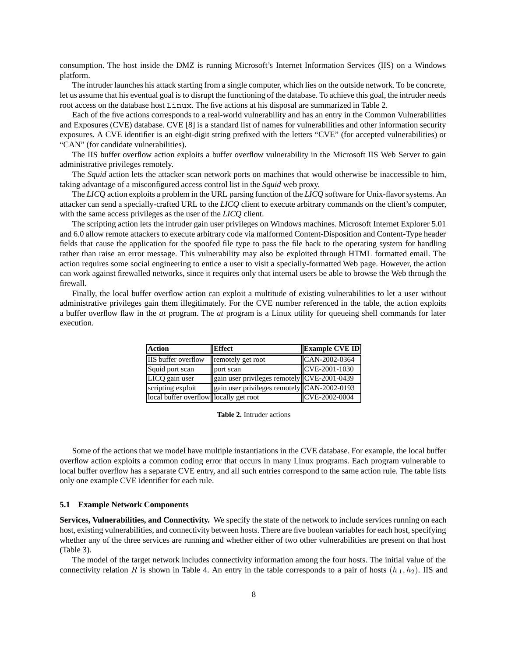consumption. The host inside the DMZ is running Microsoft's Internet Information Services (IIS) on a Windows platform.

The intruder launches his attack starting from a single computer, which lies on the outside network. To be concrete, let us assume that his eventual goal is to disrupt the functioning of the database. To achieve this goal, the intruder needs root access on the database host Linux. The five actions at his disposal are summarized in Table 2.

Each of the five actions corresponds to a real-world vulnerability and has an entry in the Common Vulnerabilities and Exposures (CVE) database. CVE [8] is a standard list of names for vulnerabilities and other information security exposures. A CVE identifier is an eight-digit string prefixed with the letters "CVE" (for accepted vulnerabilities) or "CAN" (for candidate vulnerabilities).

The IIS buffer overflow action exploits a buffer overflow vulnerability in the Microsoft IIS Web Server to gain administrative privileges remotely.

The *Squid* action lets the attacker scan network ports on machines that would otherwise be inaccessible to him, taking advantage of a misconfigured access control list in the *Squid* web proxy.

The *LICQ* action exploits a problem in the URL parsing function of the *LICQ* software for Unix-flavor systems. An attacker can send a specially-crafted URL to the *LICQ* client to execute arbitrary commands on the client's computer, with the same access privileges as the user of the *LICQ* client.

The scripting action lets the intruder gain user privileges on Windows machines. Microsoft Internet Explorer 5.01 and 6.0 allow remote attackers to execute arbitrary code via malformed Content-Disposition and Content-Type header fields that cause the application for the spoofed file type to pass the file back to the operating system for handling rather than raise an error message. This vulnerability may also be exploited through HTML formatted email. The action requires some social engineering to entice a user to visit a specially-formatted Web page. However, the action can work against firewalled networks, since it requires only that internal users be able to browse the Web through the firewall.

Finally, the local buffer overflow action can exploit a multitude of existing vulnerabilities to let a user without administrative privileges gain them illegitimately. For the CVE number referenced in the table, the action exploits a buffer overflow flaw in the *at* program. The *at* program is a Linux utility for queueing shell commands for later execution.

| <b>Action</b>                          | <b>Effect</b>                               | <b>Example CVE ID</b> |
|----------------------------------------|---------------------------------------------|-----------------------|
| IIS buffer overflow                    | remotely get root                           | CAN-2002-0364         |
| Squid port scan                        | port scan                                   | CVE-2001-1030         |
| LICQ gain user                         | gain user privileges remotely CVE-2001-0439 |                       |
| scripting exploit                      | gain user privileges remotely CAN-2002-0193 |                       |
| local buffer overflow locally get root |                                             | CVE-2002-0004         |

**Table 2.** Intruder actions

Some of the actions that we model have multiple instantiations in the CVE database. For example, the local buffer overflow action exploits a common coding error that occurs in many Linux programs. Each program vulnerable to local buffer overflow has a separate CVE entry, and all such entries correspond to the same action rule. The table lists only one example CVE identifier for each rule.

#### **5.1 Example Network Components**

**Services, Vulnerabilities, and Connectivity.** We specify the state of the network to include services running on each host, existing vulnerabilities, and connectivity between hosts. There are five boolean variables for each host, specifying whether any of the three services are running and whether either of two other vulnerabilities are present on that host (Table 3).

The model of the target network includes connectivity information among the four hosts. The initial value of the connectivity relation R is shown in Table 4. An entry in the table corresponds to a pair of hosts  $(h_1, h_2)$ . IIS and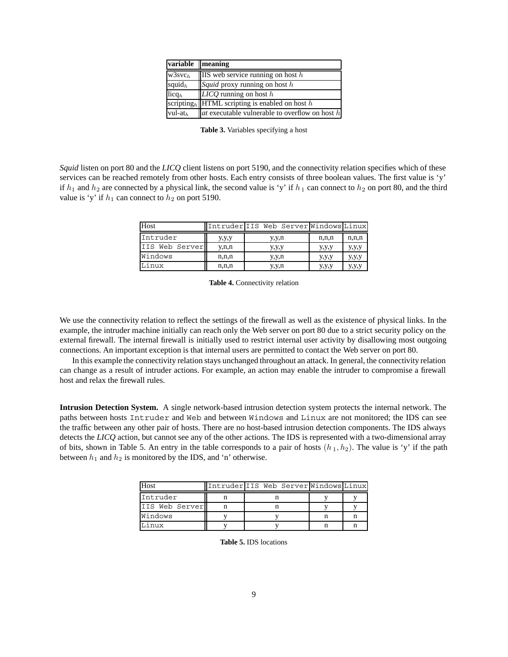| variable meaning   |                                                                 |
|--------------------|-----------------------------------------------------------------|
| w3svc <sub>h</sub> | IIS web service running on host $h$                             |
| squid <sub>h</sub> | <i>Squid</i> proxy running on host $h$                          |
| $l$ icq $h$        | $LICQ$ running on host h                                        |
|                    | scripting <sub>h</sub> HTML scripting is enabled on host h      |
| vul-at $_h$        | $\left  \right $ at executable vulnerable to overflow on host h |

**Table 3.** Variables specifying a host

*Squid* listen on port 80 and the *LICQ* client listens on port 5190, and the connectivity relation specifies which of these services can be reached remotely from other hosts. Each entry consists of three boolean values. The first value is 'y' if  $h_1$  and  $h_2$  are connected by a physical link, the second value is 'y' if  $h_1$  can connect to  $h_2$  on port 80, and the third value is 'y' if  $h_1$  can connect to  $h_2$  on port 5190.

| Host           |         | Intruder IIS Web Server Windows Linux |         |         |
|----------------|---------|---------------------------------------|---------|---------|
| Intruder       | y, y, y | y,y,n                                 | n,n,n   | n,n,n   |
| IIS Web Server | y,n,n   | y, y, y                               | y, y, y | y, y, y |
| Windows        | n,n,n   | y,y,n                                 | y, y, y | y, y, y |
| Linux          | n,n,n   | y,y,n                                 | y, y, y | y, y, y |

**Table 4.** Connectivity relation

We use the connectivity relation to reflect the settings of the firewall as well as the existence of physical links. In the example, the intruder machine initially can reach only the Web server on port 80 due to a strict security policy on the external firewall. The internal firewall is initially used to restrict internal user activity by disallowing most outgoing connections. An important exception is that internal users are permitted to contact the Web server on port 80.

In this example the connectivity relation stays unchanged throughout an attack. In general, the connectivity relation can change as a result of intruder actions. For example, an action may enable the intruder to compromise a firewall host and relax the firewall rules.

**Intrusion Detection System.** A single network-based intrusion detection system protects the internal network. The paths between hosts Intruder and Web and between Windows and Linux are not monitored; the IDS can see the traffic between any other pair of hosts. There are no host-based intrusion detection components. The IDS always detects the *LICQ* action, but cannot see any of the other actions. The IDS is represented with a two-dimensional array of bits, shown in Table 5. An entry in the table corresponds to a pair of hosts  $(h_1, h_2)$ . The value is 'y' if the path between  $h_1$  and  $h_2$  is monitored by the IDS, and 'n' otherwise.

| Host           | Intruder IIS Web Server Windows Linux |  |
|----------------|---------------------------------------|--|
| Intruder       |                                       |  |
| IIS Web Server |                                       |  |
| Windows        |                                       |  |
| Linux          |                                       |  |

**Table 5.** IDS locations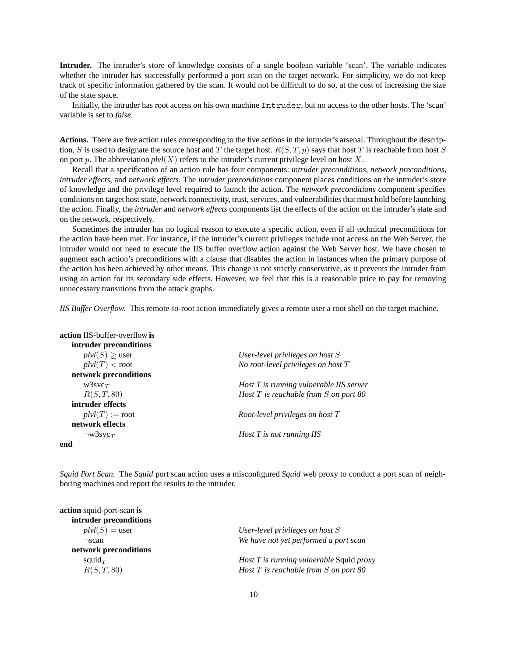**Intruder.** The intruder's store of knowledge consists of a single boolean variable 'scan'. The variable indicates whether the intruder has successfully performed a port scan on the target network. For simplicity, we do not keep track of specific information gathered by the scan. It would not be difficult to do so, at the cost of increasing the size of the state space.

Initially, the intruder has root access on his own machine Intruder, but no access to the other hosts. The 'scan' variable is set to *false*.

**Actions.** There are five action rules corresponding to the five actions in the intruder's arsenal. Throughout the description, S is used to designate the source host and T the target host.  $R(S, T, p)$  says that host T is reachable from host S on port p. The abbreviation  $plvl(X)$  refers to the intruder's current privilege level on host X.

Recall that a specification of an action rule has four components: *intruder preconditions*, *network preconditions*, *intruder effects*, and *network effects*. The *intruder preconditions* component places conditions on the intruder's store of knowledge and the privilege level required to launch the action. The *network preconditions* component specifies conditions on target host state, network connectivity, trust, services, and vulnerabilities that must hold before launching the action. Finally, the *intruder* and *network effects* components list the effects of the action on the intruder's state and on the network, respectively.

Sometimes the intruder has no logical reason to execute a specific action, even if all technical preconditions for the action have been met. For instance, if the intruder's current privileges include root access on the Web Server, the intruder would not need to execute the IIS buffer overflow action against the Web Server host. We have chosen to augment each action's preconditions with a clause that disables the action in instances when the primary purpose of the action has been achieved by other means. This change is not strictly conservative, as it prevents the intruder from using an action for its secondary side effects. However, we feel that this is a reasonable price to pay for removing unnecessary transitions from the attack graphs.

*IIS Buffer Overflow.* This remote-to-root action immediately gives a remote user a root shell on the target machine.

| User-level privileges on host $S$         |
|-------------------------------------------|
| No root-level privileges on host $T$      |
|                                           |
| Host T is running vulnerable IIS server   |
| Host $T$ is reachable from $S$ on port 80 |
|                                           |
| Root-level privileges on host T           |
|                                           |
| <i>Host T is not running IIS</i>          |
|                                           |
|                                           |

*Squid Port Scan.* The *Squid* port scan action uses a misconfigured *Squid* web proxy to conduct a port scan of neighboring machines and report the results to the intruder.

| action squid-port-scan is |                                                 |
|---------------------------|-------------------------------------------------|
| intruder preconditions    |                                                 |
| $plvl(S) =$ user          | User-level privileges on host $S$               |
| $\neg$ scan               | We have not yet performed a port scan           |
| network preconditions     |                                                 |
| squid $\tau$              | <i>Host T is running vulnerable Squid proxy</i> |
| R(S, T, 80)               | Host $T$ is reachable from $S$ on port 80       |
|                           |                                                 |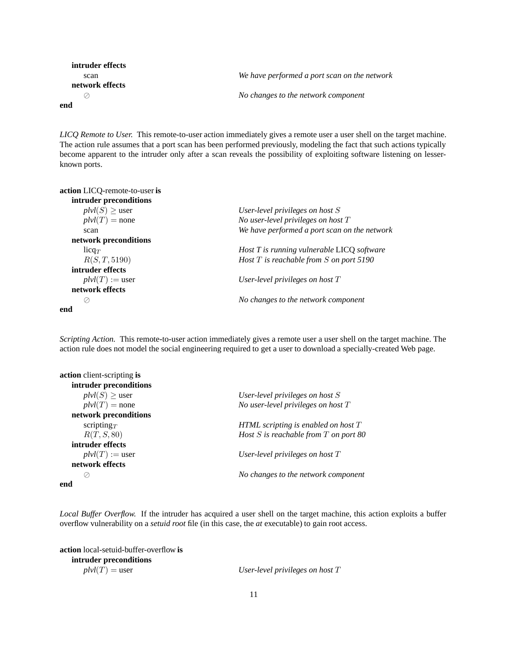```
intruder effects
    scan We have performed a port scan on the network
  network effects
     No changes to the network component
end
```
*LICQ Remote to User.* This remote-to-user action immediately gives a remote user a user shell on the target machine. The action rule assumes that a port scan has been performed previously, modeling the fact that such actions typically become apparent to the intruder only after a scan reveals the possibility of exploiting software listening on lesserknown ports.

# **action** LICQ-remote-to-user **is intruder preconditions**  $p \mid v \mid (S) \geq$  user *User-level privileges on host*  $S$ <br> $p \mid v \mid (T) =$  none *No user-level privileges on host No user-level privileges on host*  $T$ scan *We have performed a port scan on the network* **network preconditions** licq*<sup>T</sup> Host T is running vulnerable* LICQ *software* R(S, T, 5190) *Host* T *is reachable from* S *on port 5190* **intruder effects**  $p \mid v \mid (T) :=$  user *User-level privileges on host* T **network effects** *No changes to the network component* **end**

*Scripting Action.* This remote-to-user action immediately gives a remote user a user shell on the target machine. The action rule does not model the social engineering required to get a user to download a specially-created Web page.

| action client-scripting is |                                             |
|----------------------------|---------------------------------------------|
| intruder preconditions     |                                             |
| $plvl(S) \geq$ user        | User-level privileges on host $S$           |
| $plvl(T) =$ none           | No user-level privileges on host $T$        |
| network preconditions      |                                             |
| scripting $\tau$           | HTML scripting is enabled on host $T$       |
| R(T, S, 80)                | Host $S$ is reachable from $T$ on port $80$ |
| intruder effects           |                                             |
| $plvl(T) :=$ user          | User-level privileges on host $T$           |
| network effects            |                                             |
| Ø                          | No changes to the network component         |
| end                        |                                             |

*Local Buffer Overflow.* If the intruder has acquired a user shell on the target machine, this action exploits a buffer overflow vulnerability on a *setuid root* file (in this case, the *at* executable) to gain root access.

| <b>action</b> local-setuid-buffer-overflow is |                                   |
|-----------------------------------------------|-----------------------------------|
| intruder preconditions                        |                                   |
| $plvl(T) =$ user                              | User-level privileges on host $T$ |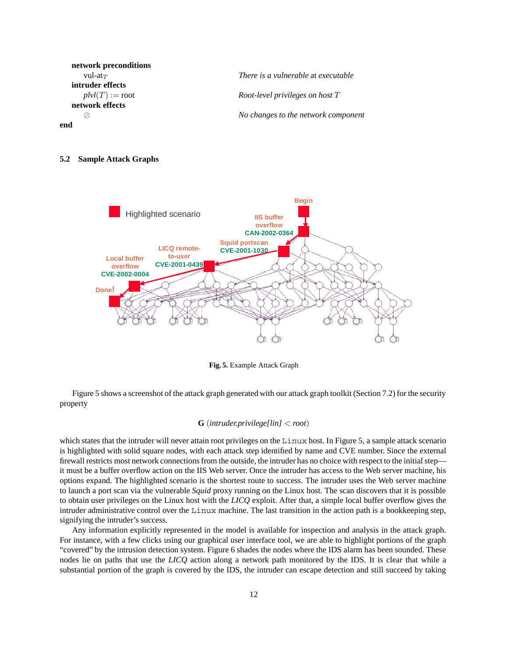

#### **5.2 Sample Attack Graphs**



**Fig. 5.** Example Attack Graph

Figure 5 shows a screenshot of the attack graph generated with our attack graph toolkit (Section 7.2) for the security property

#### **G** (*intruder.privilege[lin]* < *root*)

which states that the intruder will never attain root privileges on the Linux host. In Figure 5, a sample attack scenario is highlighted with solid square nodes, with each attack step identified by name and CVE number. Since the external firewall restricts most network connections from the outside, the intruder has no choice with respect to the initial step it must be a buffer overflow action on the IIS Web server. Once the intruder has access to the Web server machine, his options expand. The highlighted scenario is the shortest route to success. The intruder uses the Web server machine to launch a port scan via the vulnerable *Squid* proxy running on the Linux host. The scan discovers that it is possible to obtain user privileges on the Linux host with the *LICQ* exploit. After that, a simple local buffer overflow gives the intruder administrative control over the Linux machine. The last transition in the action path is a bookkeeping step, signifying the intruder's success.

Any information explicitly represented in the model is available for inspection and analysis in the attack graph. For instance, with a few clicks using our graphical user interface tool, we are able to highlight portions of the graph "covered" by the intrusion detection system. Figure 6 shades the nodes where the IDS alarm has been sounded. These nodes lie on paths that use the *LICQ* action along a network path monitored by the IDS. It is clear that while a substantial portion of the graph is covered by the IDS, the intruder can escape detection and still succeed by taking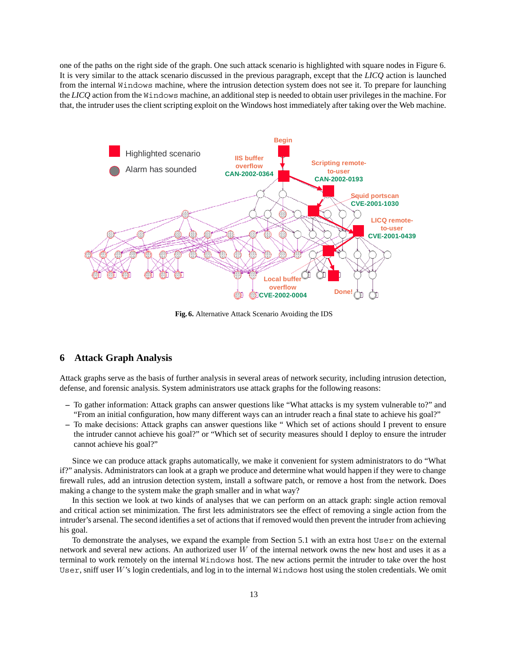one of the paths on the right side of the graph. One such attack scenario is highlighted with square nodes in Figure 6. It is very similar to the attack scenario discussed in the previous paragraph, except that the *LICQ* action is launched from the internal Windows machine, where the intrusion detection system does not see it. To prepare for launching the *LICQ* action from the Windows machine, an additional step is needed to obtain user privileges in the machine. For that, the intruder uses the client scripting exploit on the Windows host immediately after taking over the Web machine.



**Fig. 6.** Alternative Attack Scenario Avoiding the IDS

### **6 Attack Graph Analysis**

Attack graphs serve as the basis of further analysis in several areas of network security, including intrusion detection, defense, and forensic analysis. System administrators use attack graphs for the following reasons:

- **–** To gather information: Attack graphs can answer questions like "What attacks is my system vulnerable to?" and "From an initial configuration, how many different ways can an intruder reach a final state to achieve his goal?"
- **–** To make decisions: Attack graphs can answer questions like " Which set of actions should I prevent to ensure the intruder cannot achieve his goal?" or "Which set of security measures should I deploy to ensure the intruder cannot achieve his goal?"

Since we can produce attack graphs automatically, we make it convenient for system administrators to do "What if?" analysis. Administrators can look at a graph we produce and determine what would happen if they were to change firewall rules, add an intrusion detection system, install a software patch, or remove a host from the network. Does making a change to the system make the graph smaller and in what way?

In this section we look at two kinds of analyses that we can perform on an attack graph: single action removal and critical action set minimization. The first lets administrators see the effect of removing a single action from the intruder's arsenal. The second identifies a set of actions that if removed would then prevent the intruder from achieving his goal.

To demonstrate the analyses, we expand the example from Section 5.1 with an extra host User on the external network and several new actions. An authorized user W of the internal network owns the new host and uses it as a terminal to work remotely on the internal Windows host. The new actions permit the intruder to take over the host User, sniff user W's login credentials, and log in to the internal Windows host using the stolen credentials. We omit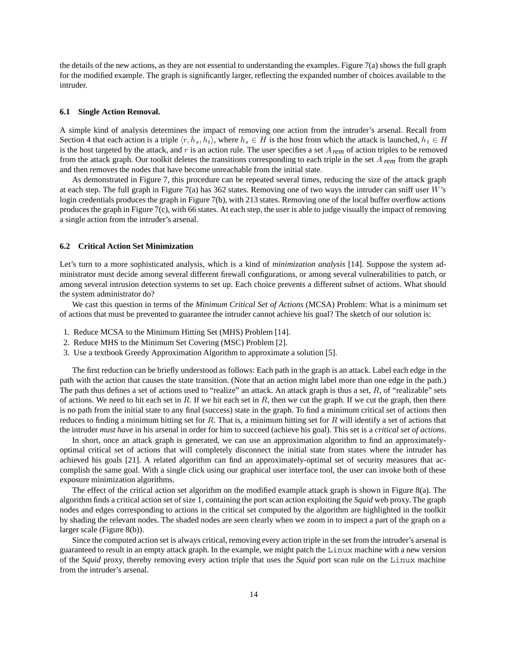the details of the new actions, as they are not essential to understanding the examples. Figure 7(a) shows the full graph for the modified example. The graph is significantly larger, reflecting the expanded number of choices available to the intruder.

#### **6.1 Single Action Removal.**

A simple kind of analysis determines the impact of removing one action from the intruder's arsenal. Recall from Section 4 that each action is a triple  $\langle r, h_s, h_t \rangle$ , where  $h_s \in H$  is the host from which the attack is launched,  $h_t \in H$ is the host targeted by the attack, and r is an action rule. The user specifies a set A*rem* of action triples to be removed from the attack graph. Our toolkit deletes the transitions corresponding to each triple in the set A *rem* from the graph and then removes the nodes that have become unreachable from the initial state.

As demonstrated in Figure 7, this procedure can be repeated several times, reducing the size of the attack graph at each step. The full graph in Figure 7(a) has  $362$  states. Removing one of two ways the intruder can sniff user W's login credentials produces the graph in Figure 7(b), with 213 states. Removing one of the local buffer overflow actions produces the graph in Figure 7(c), with 66 states. At each step, the user is able to judge visually the impact of removing a single action from the intruder's arsenal.

#### **6.2 Critical Action Set Minimization**

Let's turn to a more sophisticated analysis, which is a kind of *minimization analysis* [14]. Suppose the system administrator must decide among several different firewall configurations, or among several vulnerabilities to patch, or among several intrusion detection systems to set up. Each choice prevents a different subset of actions. What should the system administrator do?

We cast this question in terms of the *Minimum Critical Set of Actions* (MCSA) Problem: What is a minimum set of actions that must be prevented to guarantee the intruder cannot achieve his goal? The sketch of our solution is:

- 1. Reduce MCSA to the Minimum Hitting Set (MHS) Problem [14].
- 2. Reduce MHS to the Minimum Set Covering (MSC) Problem [2].
- 3. Use a textbook Greedy Approximation Algorithm to approximate a solution [5].

The first reduction can be briefly understood as follows: Each path in the graph is an attack. Label each edge in the path with the action that causes the state transition. (Note that an action might label more than one edge in the path.) The path thus defines a set of actions used to "realize" an attack. An attack graph is thus a set, R, of "realizable" sets of actions. We need to hit each set in R. If we hit each set in R, then we cut the graph. If we cut the graph, then there is no path from the initial state to any final (success) state in the graph. To find a minimum critical set of actions then reduces to finding a minimum hitting set for R. That is, a minimum hitting set for R will identify a set of actions that the intruder *must have* in his arsenal in order for him to succeed (achieve his goal). This set is a *critical set of actions*.

In short, once an attack graph is generated, we can use an approximation algorithm to find an approximatelyoptimal critical set of actions that will completely disconnect the initial state from states where the intruder has achieved his goals [21]. A related algorithm can find an approximately-optimal set of security measures that accomplish the same goal. With a single click using our graphical user interface tool, the user can invoke both of these exposure minimization algorithms.

The effect of the critical action set algorithm on the modified example attack graph is shown in Figure 8(a). The algorithm finds a critical action set of size 1, containing the port scan action exploiting the *Squid* web proxy. The graph nodes and edges corresponding to actions in the critical set computed by the algorithm are highlighted in the toolkit by shading the relevant nodes. The shaded nodes are seen clearly when we zoom in to inspect a part of the graph on a larger scale (Figure 8(b)).

Since the computed action set is always critical, removing every action triple in the set from the intruder's arsenal is guaranteed to result in an empty attack graph. In the example, we might patch the Linux machine with a new version of the *Squid* proxy, thereby removing every action triple that uses the *Squid* port scan rule on the Linux machine from the intruder's arsenal.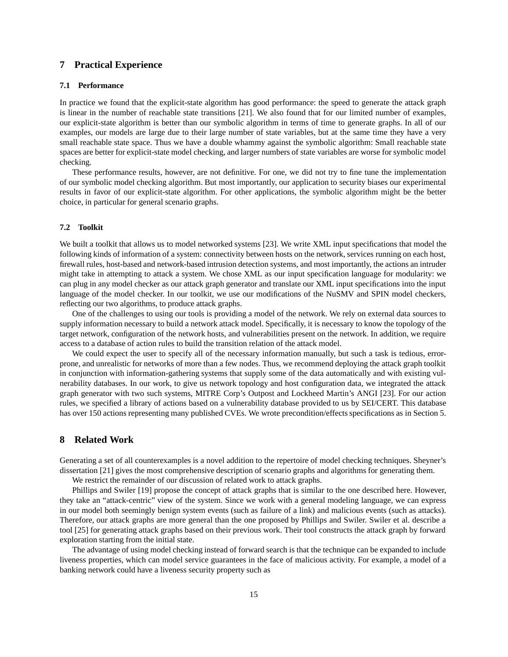## **7 Practical Experience**

#### **7.1 Performance**

In practice we found that the explicit-state algorithm has good performance: the speed to generate the attack graph is linear in the number of reachable state transitions [21]. We also found that for our limited number of examples, our explicit-state algorithm is better than our symbolic algorithm in terms of time to generate graphs. In all of our examples, our models are large due to their large number of state variables, but at the same time they have a very small reachable state space. Thus we have a double whammy against the symbolic algorithm: Small reachable state spaces are better for explicit-state model checking, and larger numbers of state variables are worse for symbolic model checking.

These performance results, however, are not definitive. For one, we did not try to fine tune the implementation of our symbolic model checking algorithm. But most importantly, our application to security biases our experimental results in favor of our explicit-state algorithm. For other applications, the symbolic algorithm might be the better choice, in particular for general scenario graphs.

#### **7.2 Toolkit**

We built a toolkit that allows us to model networked systems [23]. We write XML input specifications that model the following kinds of information of a system: connectivity between hosts on the network, services running on each host, firewall rules, host-based and network-based intrusion detection systems, and most importantly, the actions an intruder might take in attempting to attack a system. We chose XML as our input specification language for modularity: we can plug in any model checker as our attack graph generator and translate our XML input specifications into the input language of the model checker. In our toolkit, we use our modifications of the NuSMV and SPIN model checkers, reflecting our two algorithms, to produce attack graphs.

One of the challenges to using our tools is providing a model of the network. We rely on external data sources to supply information necessary to build a network attack model. Specifically, it is necessary to know the topology of the target network, configuration of the network hosts, and vulnerabilities present on the network. In addition, we require access to a database of action rules to build the transition relation of the attack model.

We could expect the user to specify all of the necessary information manually, but such a task is tedious, errorprone, and unrealistic for networks of more than a few nodes. Thus, we recommend deploying the attack graph toolkit in conjunction with information-gathering systems that supply some of the data automatically and with existing vulnerability databases. In our work, to give us network topology and host configuration data, we integrated the attack graph generator with two such systems, MITRE Corp's Outpost and Lockheed Martin's ANGI [23]. For our action rules, we specified a library of actions based on a vulnerability database provided to us by SEI/CERT. This database has over 150 actions representing many published CVEs. We wrote precondition/effects specifications as in Section 5.

# **8 Related Work**

Generating a set of all counterexamples is a novel addition to the repertoire of model checking techniques. Sheyner's dissertation [21] gives the most comprehensive description of scenario graphs and algorithms for generating them.

We restrict the remainder of our discussion of related work to attack graphs.

Phillips and Swiler [19] propose the concept of attack graphs that is similar to the one described here. However, they take an "attack-centric" view of the system. Since we work with a general modeling language, we can express in our model both seemingly benign system events (such as failure of a link) and malicious events (such as attacks). Therefore, our attack graphs are more general than the one proposed by Phillips and Swiler. Swiler et al. describe a tool [25] for generating attack graphs based on their previous work. Their tool constructs the attack graph by forward exploration starting from the initial state.

The advantage of using model checking instead of forward search is that the technique can be expanded to include liveness properties, which can model service guarantees in the face of malicious activity. For example, a model of a banking network could have a liveness security property such as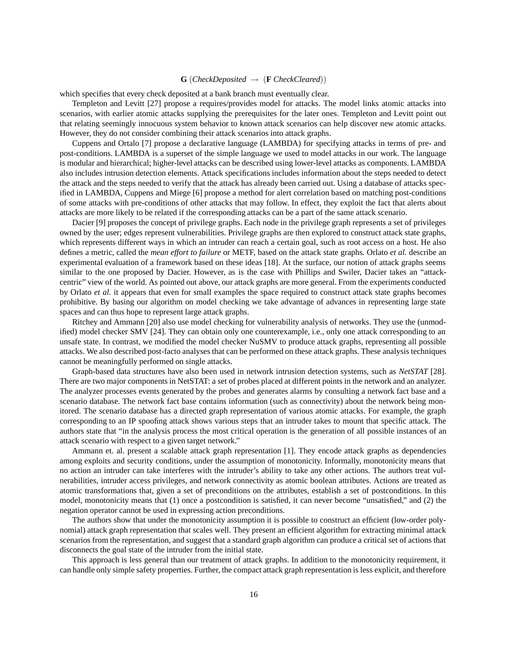#### $G$  (*CheckDeposited*  $\rightarrow$  (**F** *CheckCleared*))

which specifies that every check deposited at a bank branch must eventually clear.

Templeton and Levitt [27] propose a requires/provides model for attacks. The model links atomic attacks into scenarios, with earlier atomic attacks supplying the prerequisites for the later ones. Templeton and Levitt point out that relating seemingly innocuous system behavior to known attack scenarios can help discover new atomic attacks. However, they do not consider combining their attack scenarios into attack graphs.

Cuppens and Ortalo [7] propose a declarative language (LAMBDA) for specifying attacks in terms of pre- and post-conditions. LAMBDA is a superset of the simple language we used to model attacks in our work. The language is modular and hierarchical; higher-level attacks can be described using lower-level attacks as components. LAMBDA also includes intrusion detection elements. Attack specifications includes information about the steps needed to detect the attack and the steps needed to verify that the attack has already been carried out. Using a database of attacks specified in LAMBDA, Cuppens and Miege [6] propose a method for alert correlation based on matching post-conditions of some attacks with pre-conditions of other attacks that may follow. In effect, they exploit the fact that alerts about attacks are more likely to be related if the corresponding attacks can be a part of the same attack scenario.

Dacier [9] proposes the concept of privilege graphs. Each node in the privilege graph represents a set of privileges owned by the user; edges represent vulnerabilities. Privilege graphs are then explored to construct attack state graphs, which represents different ways in which an intruder can reach a certain goal, such as root access on a host. He also defines a metric, called the *mean effort to failure* or METF, based on the attack state graphs. Orlato *et al.* describe an experimental evaluation of a framework based on these ideas [18]. At the surface, our notion of attack graphs seems similar to the one proposed by Dacier. However, as is the case with Phillips and Swiler, Dacier takes an "attackcentric" view of the world. As pointed out above, our attack graphs are more general. From the experiments conducted by Orlato *et al.* it appears that even for small examples the space required to construct attack state graphs becomes prohibitive. By basing our algorithm on model checking we take advantage of advances in representing large state spaces and can thus hope to represent large attack graphs.

Ritchey and Ammann [20] also use model checking for vulnerability analysis of networks. They use the (unmodified) model checker SMV [24]. They can obtain only one counterexample, i.e., only one attack corresponding to an unsafe state. In contrast, we modified the model checker NuSMV to produce attack graphs, representing all possible attacks. We also described post-facto analyses that can be performed on these attack graphs. These analysis techniques cannot be meaningfully performed on single attacks.

Graph-based data structures have also been used in network intrusion detection systems, such as *NetSTAT* [28]. There are two major components in NetSTAT: a set of probes placed at different points in the network and an analyzer. The analyzer processes events generated by the probes and generates alarms by consulting a network fact base and a scenario database. The network fact base contains information (such as connectivity) about the network being monitored. The scenario database has a directed graph representation of various atomic attacks. For example, the graph corresponding to an IP spoofing attack shows various steps that an intruder takes to mount that specific attack. The authors state that "in the analysis process the most critical operation is the generation of all possible instances of an attack scenario with respect to a given target network."

Ammann et. al. present a scalable attack graph representation [1]. They encode attack graphs as dependencies among exploits and security conditions, under the assumption of monotonicity. Informally, monotonicity means that no action an intruder can take interferes with the intruder's ability to take any other actions. The authors treat vulnerabilities, intruder access privileges, and network connectivity as atomic boolean attributes. Actions are treated as atomic transformations that, given a set of preconditions on the attributes, establish a set of postconditions. In this model, monotonicity means that (1) once a postcondition is satisfied, it can never become "unsatisfied," and (2) the negation operator cannot be used in expressing action preconditions.

The authors show that under the monotonicity assumption it is possible to construct an efficient (low-order polynomial) attack graph representation that scales well. They present an efficient algorithm for extracting minimal attack scenarios from the representation, and suggest that a standard graph algorithm can produce a critical set of actions that disconnects the goal state of the intruder from the initial state.

This approach is less general than our treatment of attack graphs. In addition to the monotonicity requirement, it can handle only simple safety properties. Further, the compact attack graph representation is less explicit, and therefore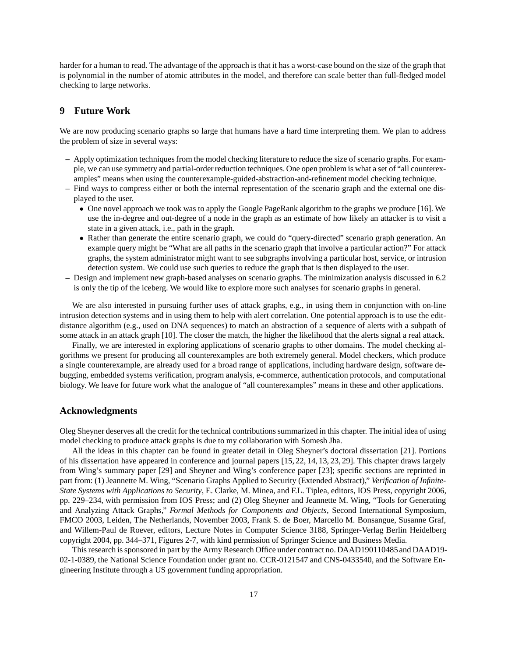harder for a human to read. The advantage of the approach is that it has a worst-case bound on the size of the graph that is polynomial in the number of atomic attributes in the model, and therefore can scale better than full-fledged model checking to large networks.

# **9 Future Work**

We are now producing scenario graphs so large that humans have a hard time interpreting them. We plan to address the problem of size in several ways:

- **–** Apply optimization techniques from the model checking literature to reduce the size of scenario graphs. For example, we can use symmetry and partial-order reduction techniques. One open problem is what a set of "all counterexamples" means when using the counterexample-guided-abstraction-and-refinement model checking technique.
- **–** Find ways to compress either or both the internal representation of the scenario graph and the external one displayed to the user.
	- One novel approach we took was to apply the Google PageRank algorithm to the graphs we produce [16]. We use the in-degree and out-degree of a node in the graph as an estimate of how likely an attacker is to visit a state in a given attack, i.e., path in the graph.
	- Rather than generate the entire scenario graph, we could do "query-directed" scenario graph generation. An example query might be "What are all paths in the scenario graph that involve a particular action?" For attack graphs, the system administrator might want to see subgraphs involving a particular host, service, or intrusion detection system. We could use such queries to reduce the graph that is then displayed to the user.
- **–** Design and implement new graph-based analyses on scenario graphs. The minimization analysis discussed in 6.2 is only the tip of the iceberg. We would like to explore more such analyses for scenario graphs in general.

We are also interested in pursuing further uses of attack graphs, e.g., in using them in conjunction with on-line intrusion detection systems and in using them to help with alert correlation. One potential approach is to use the editdistance algorithm (e.g., used on DNA sequences) to match an abstraction of a sequence of alerts with a subpath of some attack in an attack graph [10]. The closer the match, the higher the likelihood that the alerts signal a real attack.

Finally, we are interested in exploring applications of scenario graphs to other domains. The model checking algorithms we present for producing all counterexamples are both extremely general. Model checkers, which produce a single counterexample, are already used for a broad range of applications, including hardware design, software debugging, embedded systems verification, program analysis, e-commerce, authentication protocols, and computational biology. We leave for future work what the analogue of "all counterexamples" means in these and other applications.

# **Acknowledgments**

Oleg Sheyner deserves all the credit for the technical contributions summarized in this chapter. The initial idea of using model checking to produce attack graphs is due to my collaboration with Somesh Jha.

All the ideas in this chapter can be found in greater detail in Oleg Sheyner's doctoral dissertation [21]. Portions of his dissertation have appeared in conference and journal papers [15, 22, 14, 13, 23, 29]. This chapter draws largely from Wing's summary paper [29] and Sheyner and Wing's conference paper [23]; specific sections are reprinted in part from: (1) Jeannette M. Wing, "Scenario Graphs Applied to Security (Extended Abstract)," *Verification of Infinite-State Systems with Applications to Security*, E. Clarke, M. Minea, and F.L. Tiplea, editors, IOS Press, copyright 2006, pp. 229–234, with permission from IOS Press; and (2) Oleg Sheyner and Jeannette M. Wing, "Tools for Generating and Analyzing Attack Graphs," *Formal Methods for Components and Objects*, Second International Symposium, FMCO 2003, Leiden, The Netherlands, November 2003, Frank S. de Boer, Marcello M. Bonsangue, Susanne Graf, and Willem-Paul de Roever, editors, Lecture Notes in Computer Science 3188, Springer-Verlag Berlin Heidelberg copyright 2004, pp. 344–371, Figures 2-7, with kind permission of Springer Science and Business Media.

This research is sponsored in part by the Army Research Office under contract no. DAAD190110485 and DAAD19- 02-1-0389, the National Science Foundation under grant no. CCR-0121547 and CNS-0433540, and the Software Engineering Institute through a US government funding appropriation.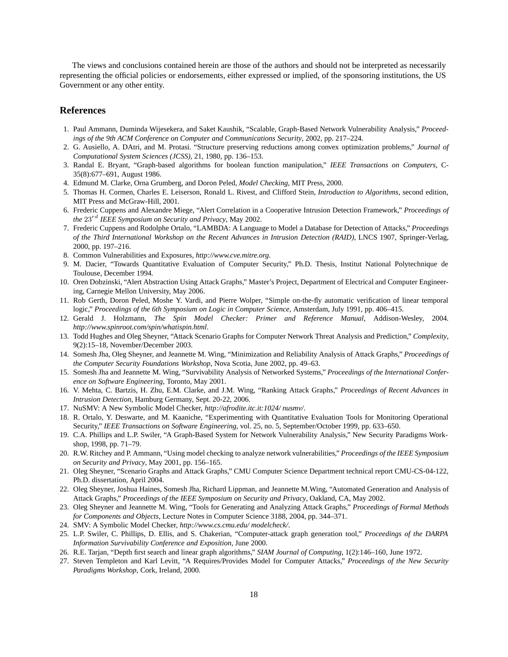The views and conclusions contained herein are those of the authors and should not be interpreted as necessarily representing the official policies or endorsements, either expressed or implied, of the sponsoring institutions, the US Government or any other entity.

## **References**

- 1. Paul Ammann, Duminda Wijesekera, and Saket Kaushik, "Scalable, Graph-Based Network Vulnerability Analysis," *Proceedings of the 9th ACM Conference on Computer and Communications Security*, 2002, pp. 217–224.
- 2. G. Ausiello, A. DAtri, and M. Protasi. "Structure preserving reductions among convex optimization problems," *Journal of Computational System Sciences (JCSS)*, 21, 1980, pp. 136–153.
- 3. Randal E. Bryant, "Graph-based algorithms for boolean function manipulation," *IEEE Transactions on Computers*, C-35(8):677–691, August 1986.
- 4. Edmund M. Clarke, Orna Grumberg, and Doron Peled, *Model Checking*, MIT Press, 2000.
- 5. Thomas H. Cormen, Charles E. Leiserson, Ronald L. Rivest, and Clifford Stein, *Introduction to Algorithms*, second edition, MIT Press and McGraw-Hill, 2001.
- 6. Frederic Cuppens and Alexandre Miege, "Alert Correlation in a Cooperative Intrusion Detection Framework," *Proceedings of the* 23*rd IEEE Symposium on Security and Privacy*, May 2002.
- 7. Frederic Cuppens and Rodolphe Ortalo, "LAMBDA: A Language to Model a Database for Detection of Attacks," *Proceedings of the Third International Workshop on the Recent Advances in Intrusion Detection (RAID)*, LNCS 1907, Springer-Verlag, 2000, pp. 197–216.
- 8. Common Vulnerabilities and Exposures, *http://www.cve.mitre.org*.
- 9. M. Dacier, "Towards Quantitative Evaluation of Computer Security," Ph.D. Thesis, Institut National Polytechnique de Toulouse, December 1994.
- 10. Oren Dobzinski, "Alert Abstraction Using Attack Graphs," Master's Project, Department of Electrical and Computer Engineering, Carnegie Mellon University, May 2006.
- 11. Rob Gerth, Doron Peled, Moshe Y. Vardi, and Pierre Wolper, "Simple on-the-fly automatic verification of linear temporal logic," *Proceedings of the 6th Symposium on Logic in Computer Science*, Amsterdam, July 1991, pp. 406–415.
- 12. Gerald J. Holzmann, *The Spin Model Checker: Primer and Reference Manual*, Addison-Wesley, 2004. *http://www.spinroot.com/spin/whatispin.html*.
- 13. Todd Hughes and Oleg Sheyner, "Attack Scenario Graphs for Computer Network Threat Analysis and Prediction," *Complexity*, 9(2):15–18, November/December 2003.
- 14. Somesh Jha, Oleg Sheyner, and Jeannette M. Wing, "Minimization and Reliability Analysis of Attack Graphs," *Proceedings of the Computer Security Foundations Workshop*, Nova Scotia, June 2002, pp. 49–63.
- 15. Somesh Jha and Jeannette M. Wing, "Survivability Analysis of Networked Systems," *Proceedings of the International Conference on Software Engineering*, Toronto, May 2001.
- 16. V. Mehta, C. Bartzis, H. Zhu, E.M. Clarke, and J.M. Wing, "Ranking Attack Graphs," *Proceedings of Recent Advances in Intrusion Detection*, Hamburg Germany, Sept. 20-22, 2006.
- 17. NuSMV: A New Symbolic Model Checker, *http://afrodite.itc.it:1024/ nusmv/*.
- 18. R. Ortalo, Y. Deswarte, and M. Kaaniche, "Experimenting with Quantitative Evaluation Tools for Monitoring Operational Security," *IEEE Transactions on Software Engineering*, vol. 25, no. 5, September/October 1999, pp. 633–650.
- 19. C.A. Phillips and L.P. Swiler, "A Graph-Based System for Network Vulnerability Analysis," New Security Paradigms Workshop, 1998, pp. 71–79.
- 20. R.W. Ritchey and P. Ammann, "Using model checking to analyze network vulnerabilities," *Proceedings of the IEEE Symposium on Security and Privacy*, May 2001, pp. 156–165.
- 21. Oleg Sheyner, "Scenario Graphs and Attack Graphs," CMU Computer Science Department technical report CMU-CS-04-122, Ph.D. dissertation, April 2004.
- 22. Oleg Sheyner, Joshua Haines, Somesh Jha, Richard Lippman, and Jeannette M.Wing, "Automated Generation and Analysis of Attack Graphs," *Proceedings of the IEEE Symposium on Security and Privacy*, Oakland, CA, May 2002.
- 23. Oleg Sheyner and Jeannette M. Wing, "Tools for Generating and Analyzing Attack Graphs," *Proceedings of Formal Methods for Components and Objects*, Lecture Notes in Computer Science 3188, 2004, pp. 344–371.
- 24. SMV: A Symbolic Model Checker, *http://www.cs.cmu.edu/ modelcheck/*.
- 25. L.P. Swiler, C. Phillips, D. Ellis, and S. Chakerian, "Computer-attack graph generation tool," *Proceedings of the DARPA Information Survivability Conference and Exposition*, June 2000.
- 26. R.E. Tarjan, "Depth first search and linear graph algorithms," *SIAM Journal of Computing*, 1(2):146–160, June 1972.
- 27. Steven Templeton and Karl Levitt, "A Requires/Provides Model for Computer Attacks," *Proceedings of the New Security Paradigms Workshop*, Cork, Ireland, 2000.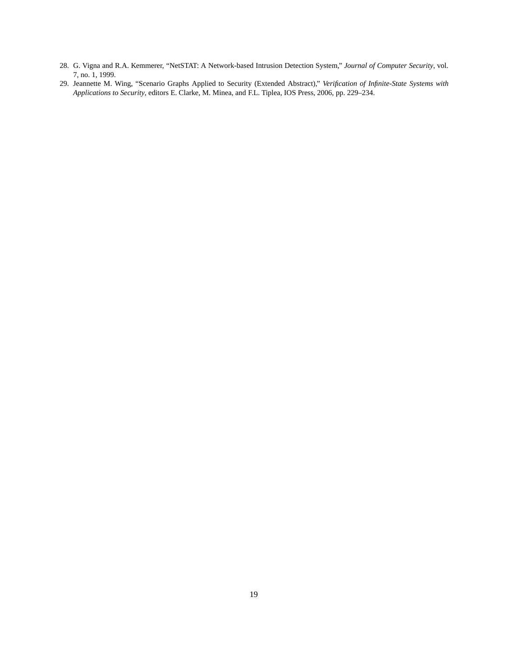- 28. G. Vigna and R.A. Kemmerer, "NetSTAT: A Network-based Intrusion Detection System," *Journal of Computer Security*, vol. 7, no. 1, 1999.
- 29. Jeannette M. Wing, "Scenario Graphs Applied to Security (Extended Abstract)," *Verification of Infinite-State Systems with Applications to Security*, editors E. Clarke, M. Minea, and F.L. Tiplea, IOS Press, 2006, pp. 229–234.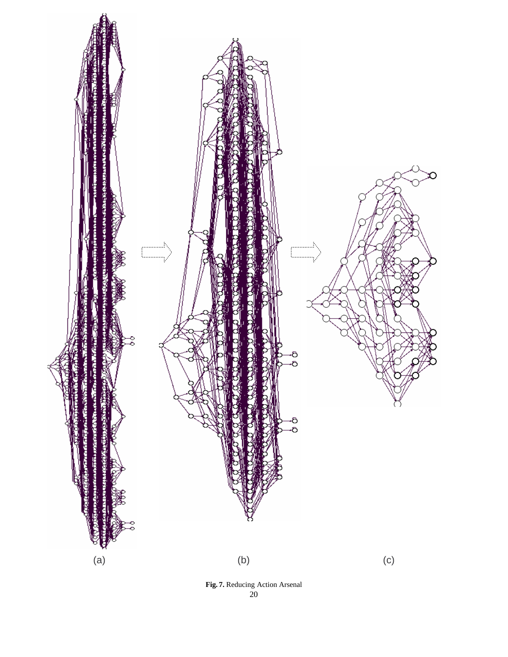

**Fig. 7.** Reducing Action Arsenal 20